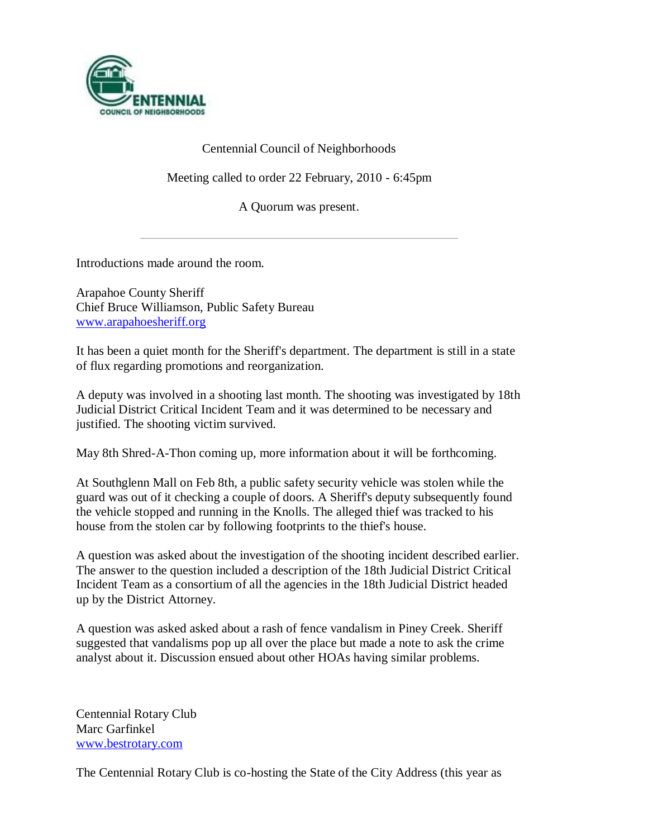

# Centennial Council of Neighborhoods

Meeting called to order 22 February, 2010 - 6:45pm

A Quorum was present.

Introductions made around the room.

Arapahoe County Sheriff Chief Bruce Williamson, Public Safety Bureau [www.arapahoesheriff.org](http://www.arapahoesheriff.org/)

It has been a quiet month for the Sheriff's department. The department is still in a state of flux regarding promotions and reorganization.

A deputy was involved in a shooting last month. The shooting was investigated by 18th Judicial District Critical Incident Team and it was determined to be necessary and justified. The shooting victim survived.

May 8th Shred-A-Thon coming up, more information about it will be forthcoming.

At Southglenn Mall on Feb 8th, a public safety security vehicle was stolen while the guard was out of it checking a couple of doors. A Sheriff's deputy subsequently found the vehicle stopped and running in the Knolls. The alleged thief was tracked to his house from the stolen car by following footprints to the thief's house.

A question was asked about the investigation of the shooting incident described earlier. The answer to the question included a description of the 18th Judicial District Critical Incident Team as a consortium of all the agencies in the 18th Judicial District headed up by the District Attorney.

A question was asked asked about a rash of fence vandalism in Piney Creek. Sheriff suggested that vandalisms pop up all over the place but made a note to ask the crime analyst about it. Discussion ensued about other HOAs having similar problems.

Centennial Rotary Club Marc Garfinkel [www.bestrotary.com](http://www.bestrotary.com/)

The Centennial Rotary Club is co-hosting the State of the City Address (this year as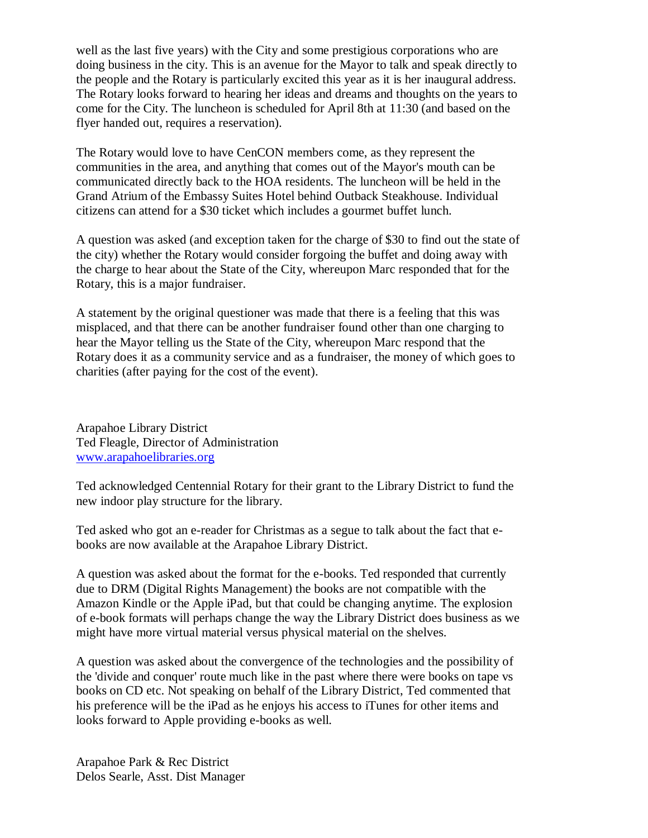well as the last five years) with the City and some prestigious corporations who are doing business in the city. This is an avenue for the Mayor to talk and speak directly to the people and the Rotary is particularly excited this year as it is her inaugural address. The Rotary looks forward to hearing her ideas and dreams and thoughts on the years to come for the City. The luncheon is scheduled for April 8th at 11:30 (and based on the flyer handed out, requires a reservation).

The Rotary would love to have CenCON members come, as they represent the communities in the area, and anything that comes out of the Mayor's mouth can be communicated directly back to the HOA residents. The luncheon will be held in the Grand Atrium of the Embassy Suites Hotel behind Outback Steakhouse. Individual citizens can attend for a \$30 ticket which includes a gourmet buffet lunch.

A question was asked (and exception taken for the charge of \$30 to find out the state of the city) whether the Rotary would consider forgoing the buffet and doing away with the charge to hear about the State of the City, whereupon Marc responded that for the Rotary, this is a major fundraiser.

A statement by the original questioner was made that there is a feeling that this was misplaced, and that there can be another fundraiser found other than one charging to hear the Mayor telling us the State of the City, whereupon Marc respond that the Rotary does it as a community service and as a fundraiser, the money of which goes to charities (after paying for the cost of the event).

Arapahoe Library District Ted Fleagle, Director of Administration [www.arapahoelibraries.org](http://www.arapahoelibraries.org/)

Ted acknowledged Centennial Rotary for their grant to the Library District to fund the new indoor play structure for the library.

Ted asked who got an e-reader for Christmas as a segue to talk about the fact that ebooks are now available at the Arapahoe Library District.

A question was asked about the format for the e-books. Ted responded that currently due to DRM (Digital Rights Management) the books are not compatible with the Amazon Kindle or the Apple iPad, but that could be changing anytime. The explosion of e-book formats will perhaps change the way the Library District does business as we might have more virtual material versus physical material on the shelves.

A question was asked about the convergence of the technologies and the possibility of the 'divide and conquer' route much like in the past where there were books on tape vs books on CD etc. Not speaking on behalf of the Library District, Ted commented that his preference will be the iPad as he enjoys his access to iTunes for other items and looks forward to Apple providing e-books as well.

Arapahoe Park & Rec District Delos Searle, Asst. Dist Manager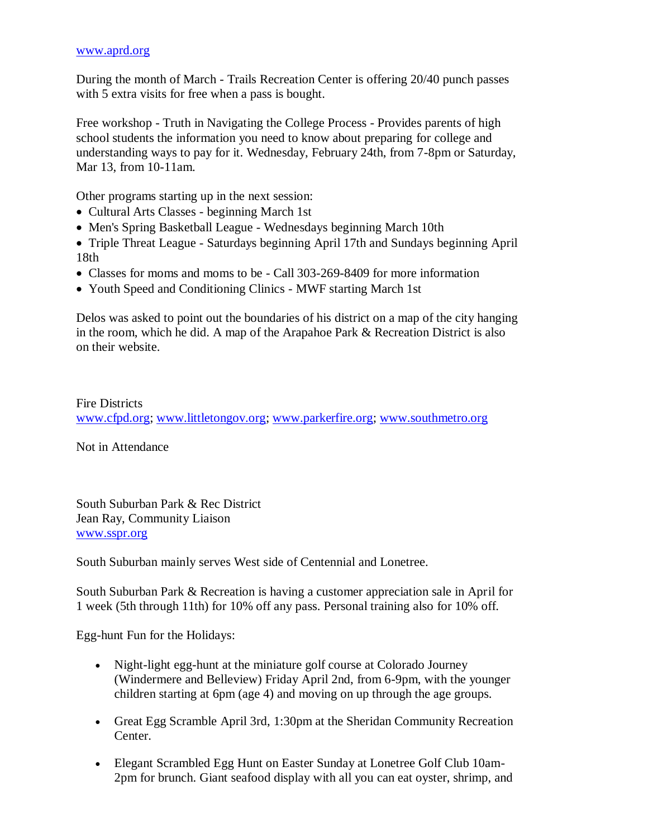#### [www.aprd.org](http://www.aprd.org/)

During the month of March - Trails Recreation Center is offering 20/40 punch passes with 5 extra visits for free when a pass is bought.

Free workshop - Truth in Navigating the College Process - Provides parents of high school students the information you need to know about preparing for college and understanding ways to pay for it. Wednesday, February 24th, from 7-8pm or Saturday, Mar 13, from 10-11am.

Other programs starting up in the next session:

- Cultural Arts Classes beginning March 1st
- Men's Spring Basketball League Wednesdays beginning March 10th
- Triple Threat League Saturdays beginning April 17th and Sundays beginning April 18th
- Classes for moms and moms to be Call 303-269-8409 for more information
- Youth Speed and Conditioning Clinics MWF starting March 1st

Delos was asked to point out the boundaries of his district on a map of the city hanging in the room, which he did. A map of the Arapahoe Park & Recreation District is also on their website.

Fire Districts [www.cfpd.org;](http://www.cfpd.org/) [www.littletongov.org;](http://www.littletongov.org/) [www.parkerfire.org;](http://www.parkerfire.org/) [www.southmetro.org](http://www.southmetro.org/)

Not in Attendance

South Suburban Park & Rec District Jean Ray, Community Liaison [www.sspr.org](http://www.sspr.org/)

South Suburban mainly serves West side of Centennial and Lonetree.

South Suburban Park & Recreation is having a customer appreciation sale in April for 1 week (5th through 11th) for 10% off any pass. Personal training also for 10% off.

Egg-hunt Fun for the Holidays:

- Night-light egg-hunt at the miniature golf course at Colorado Journey (Windermere and Belleview) Friday April 2nd, from 6-9pm, with the younger children starting at 6pm (age 4) and moving on up through the age groups.
- Great Egg Scramble April 3rd, 1:30pm at the Sheridan Community Recreation Center.
- Elegant Scrambled Egg Hunt on Easter Sunday at Lonetree Golf Club 10am-2pm for brunch. Giant seafood display with all you can eat oyster, shrimp, and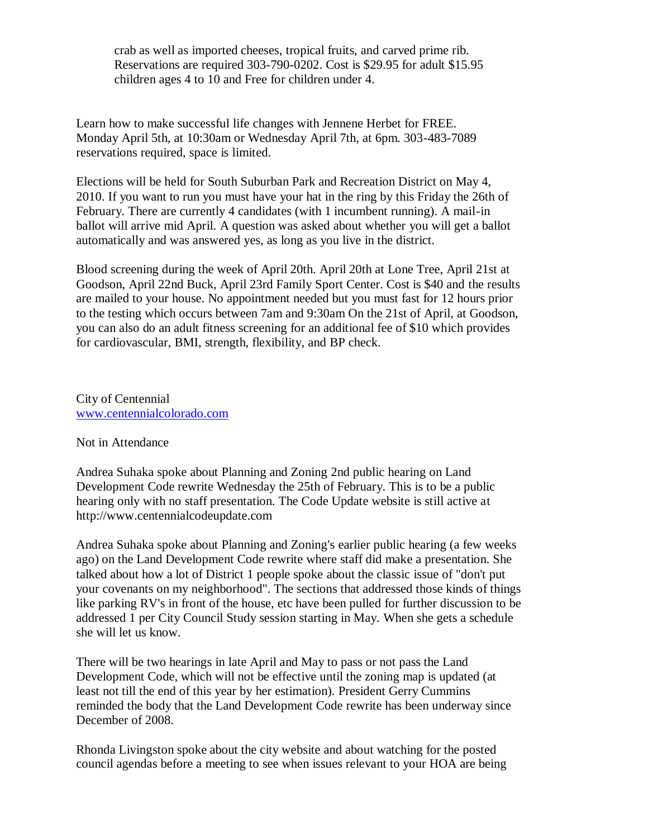crab as well as imported cheeses, tropical fruits, and carved prime rib. Reservations are required 303-790-0202. Cost is \$29.95 for adult \$15.95 children ages 4 to 10 and Free for children under 4.

Learn how to make successful life changes with Jennene Herbet for FREE. Monday April 5th, at 10:30am or Wednesday April 7th, at 6pm. 303-483-7089 reservations required, space is limited.

Elections will be held for South Suburban Park and Recreation District on May 4, 2010. If you want to run you must have your hat in the ring by this Friday the 26th of February. There are currently 4 candidates (with 1 incumbent running). A mail-in ballot will arrive mid April. A question was asked about whether you will get a ballot automatically and was answered yes, as long as you live in the district.

Blood screening during the week of April 20th. April 20th at Lone Tree, April 21st at Goodson, April 22nd Buck, April 23rd Family Sport Center. Cost is \$40 and the results are mailed to your house. No appointment needed but you must fast for 12 hours prior to the testing which occurs between 7am and 9:30am On the 21st of April, at Goodson, you can also do an adult fitness screening for an additional fee of \$10 which provides for cardiovascular, BMI, strength, flexibility, and BP check.

City of Centennial [www.centennialcolorado.com](http://www.centennialcolorado.com/)

## Not in Attendance

Andrea Suhaka spoke about Planning and Zoning 2nd public hearing on Land Development Code rewrite Wednesday the 25th of February. This is to be a public hearing only with no staff presentation. The Code Update website is still active at http://www.centennialcodeupdate.com

Andrea Suhaka spoke about Planning and Zoning's earlier public hearing (a few weeks ago) on the Land Development Code rewrite where staff did make a presentation. She talked about how a lot of District 1 people spoke about the classic issue of "don't put your covenants on my neighborhood". The sections that addressed those kinds of things like parking RV's in front of the house, etc have been pulled for further discussion to be addressed 1 per City Council Study session starting in May. When she gets a schedule she will let us know.

There will be two hearings in late April and May to pass or not pass the Land Development Code, which will not be effective until the zoning map is updated (at least not till the end of this year by her estimation). President Gerry Cummins reminded the body that the Land Development Code rewrite has been underway since December of 2008.

Rhonda Livingston spoke about the city website and about watching for the posted council agendas before a meeting to see when issues relevant to your HOA are being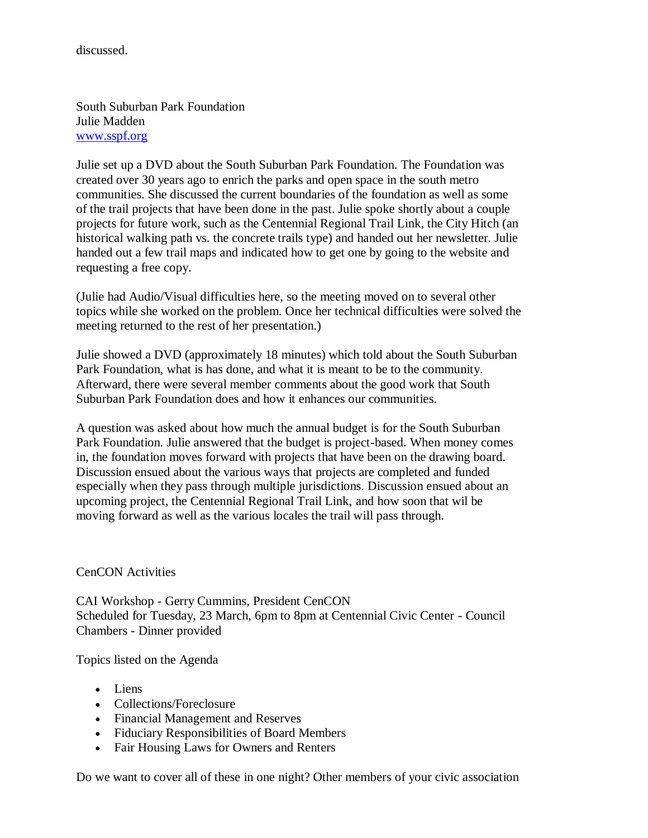discussed.

South Suburban Park Foundation Julie Madden [www.sspf.org](http://www.sspf.org/)

Julie set up a DVD about the South Suburban Park Foundation. The Foundation was created over 30 years ago to enrich the parks and open space in the south metro communities. She discussed the current boundaries of the foundation as well as some of the trail projects that have been done in the past. Julie spoke shortly about a couple projects for future work, such as the Centennial Regional Trail Link, the City Hitch (an historical walking path vs. the concrete trails type) and handed out her newsletter. Julie handed out a few trail maps and indicated how to get one by going to the website and requesting a free copy.

(Julie had Audio/Visual difficulties here, so the meeting moved on to several other topics while she worked on the problem. Once her technical difficulties were solved the meeting returned to the rest of her presentation.)

Julie showed a DVD (approximately 18 minutes) which told about the South Suburban Park Foundation, what is has done, and what it is meant to be to the community. Afterward, there were several member comments about the good work that South Suburban Park Foundation does and how it enhances our communities.

A question was asked about how much the annual budget is for the South Suburban Park Foundation. Julie answered that the budget is project-based. When money comes in, the foundation moves forward with projects that have been on the drawing board. Discussion ensued about the various ways that projects are completed and funded especially when they pass through multiple jurisdictions. Discussion ensued about an upcoming project, the Centennial Regional Trail Link, and how soon that wil be moving forward as well as the various locales the trail will pass through.

CenCON Activities

CAI Workshop - Gerry Cummins, President CenCON Scheduled for Tuesday, 23 March, 6pm to 8pm at Centennial Civic Center - Council Chambers - Dinner provided

Topics listed on the Agenda

- Liens
- Collections/Foreclosure
- Financial Management and Reserves
- Fiduciary Responsibilities of Board Members
- Fair Housing Laws for Owners and Renters

Do we want to cover all of these in one night? Other members of your civic association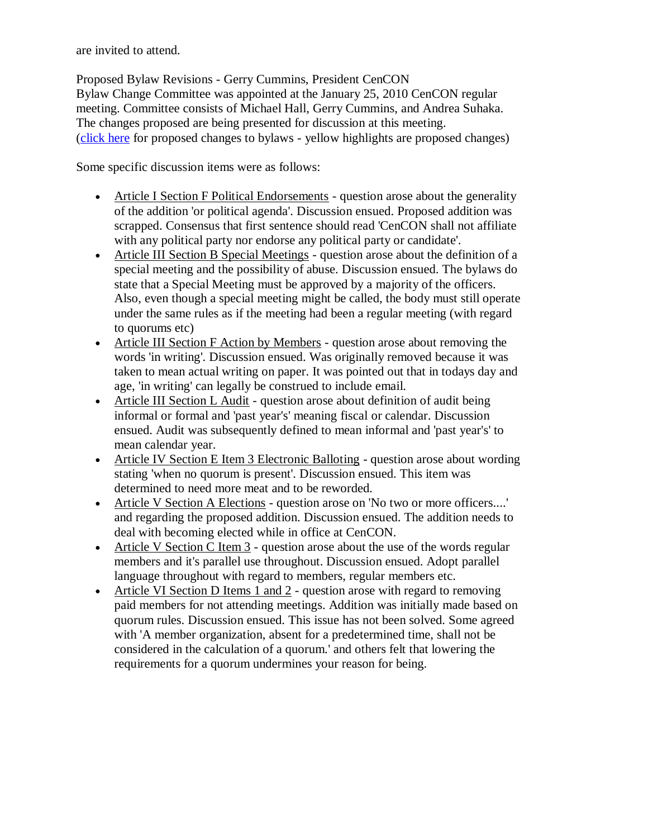are invited to attend.

Proposed Bylaw Revisions - Gerry Cummins, President CenCON Bylaw Change Committee was appointed at the January 25, 2010 CenCON regular meeting. Committee consists of Michael Hall, Gerry Cummins, and Andrea Suhaka. The changes proposed are being presented for discussion at this meeting. [\(click here](http://www.craab.net/cencon/pdf/CenCON%20Bylaws%20proposed%20changes.pdf) for proposed changes to bylaws - yellow highlights are proposed changes)

Some specific discussion items were as follows:

- Article I Section F Political Endorsements question arose about the generality of the addition 'or political agenda'. Discussion ensued. Proposed addition was scrapped. Consensus that first sentence should read 'CenCON shall not affiliate with any political party nor endorse any political party or candidate'.
- Article III Section B Special Meetings question arose about the definition of a special meeting and the possibility of abuse. Discussion ensued. The bylaws do state that a Special Meeting must be approved by a majority of the officers. Also, even though a special meeting might be called, the body must still operate under the same rules as if the meeting had been a regular meeting (with regard to quorums etc)
- Article III Section F Action by Members question arose about removing the words 'in writing'. Discussion ensued. Was originally removed because it was taken to mean actual writing on paper. It was pointed out that in todays day and age, 'in writing' can legally be construed to include email.
- Article III Section L Audit question arose about definition of audit being informal or formal and 'past year's' meaning fiscal or calendar. Discussion ensued. Audit was subsequently defined to mean informal and 'past year's' to mean calendar year.
- Article IV Section E Item 3 Electronic Balloting question arose about wording stating 'when no quorum is present'. Discussion ensued. This item was determined to need more meat and to be reworded.
- Article V Section A Elections question arose on 'No two or more officers....' and regarding the proposed addition. Discussion ensued. The addition needs to deal with becoming elected while in office at CenCON.
- Article V Section C Item  $3$  question arose about the use of the words regular members and it's parallel use throughout. Discussion ensued. Adopt parallel language throughout with regard to members, regular members etc.
- Article VI Section D Items 1 and 2 question arose with regard to removing paid members for not attending meetings. Addition was initially made based on quorum rules. Discussion ensued. This issue has not been solved. Some agreed with 'A member organization, absent for a predetermined time, shall not be considered in the calculation of a quorum.' and others felt that lowering the requirements for a quorum undermines your reason for being.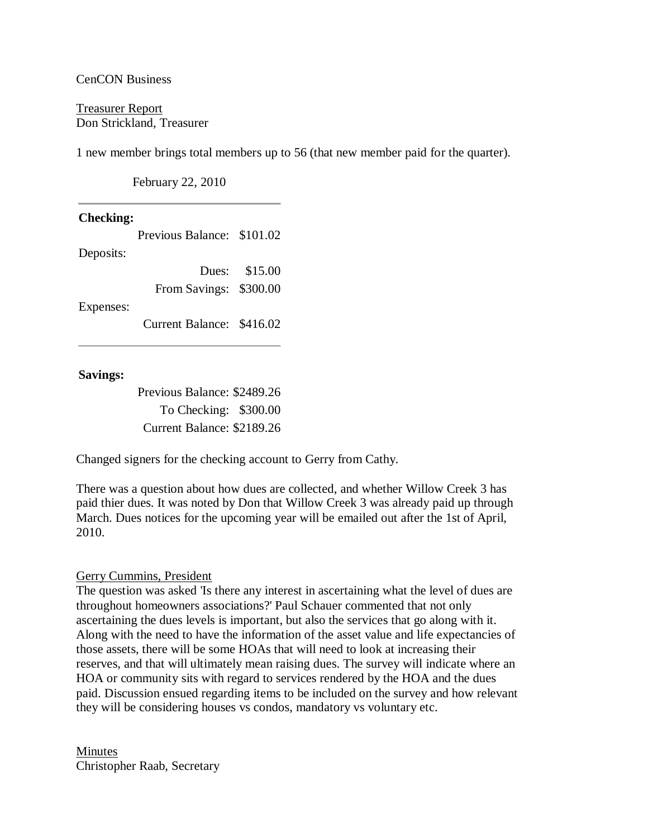### CenCON Business

Treasurer Report Don Strickland, Treasurer

1 new member brings total members up to 56 (that new member paid for the quarter).

February 22, 2010

| <b>Checking:</b> |                            |               |
|------------------|----------------------------|---------------|
|                  | Previous Balance: \$101.02 |               |
| Deposits:        |                            |               |
|                  |                            | Dues: \$15.00 |
|                  | From Savings: \$300.00     |               |
| Expenses:        |                            |               |
|                  | Current Balance: \$416.02  |               |
|                  |                            |               |

### **Savings:**

Previous Balance: \$2489.26 To Checking: \$300.00 Current Balance: \$2189.26

Changed signers for the checking account to Gerry from Cathy.

There was a question about how dues are collected, and whether Willow Creek 3 has paid thier dues. It was noted by Don that Willow Creek 3 was already paid up through March. Dues notices for the upcoming year will be emailed out after the 1st of April, 2010.

## Gerry Cummins, President

The question was asked 'Is there any interest in ascertaining what the level of dues are throughout homeowners associations?' Paul Schauer commented that not only ascertaining the dues levels is important, but also the services that go along with it. Along with the need to have the information of the asset value and life expectancies of those assets, there will be some HOAs that will need to look at increasing their reserves, and that will ultimately mean raising dues. The survey will indicate where an HOA or community sits with regard to services rendered by the HOA and the dues paid. Discussion ensued regarding items to be included on the survey and how relevant they will be considering houses vs condos, mandatory vs voluntary etc.

Minutes Christopher Raab, Secretary